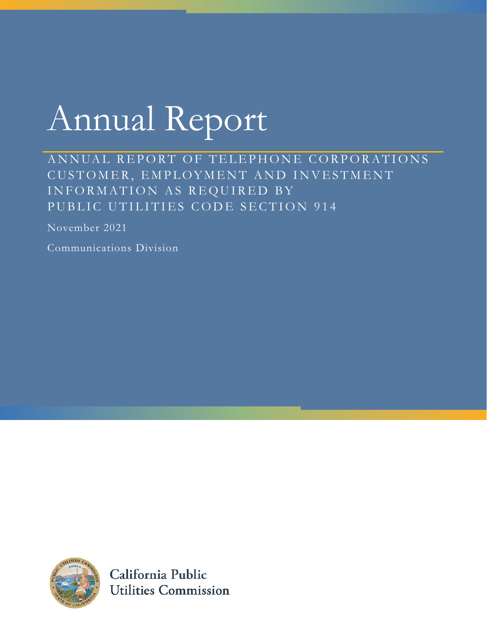# Annual Report

ANNUAL REPORT OF TELEPHONE CORPORATIONS CUSTOMER, EMPLOYMENT AND INVESTMENT INFORMATION AS REQUIRED BY PUBLIC UTILITIES CODE SECTION 914

November 2021

Communications Division



California Public **Utilities Commission**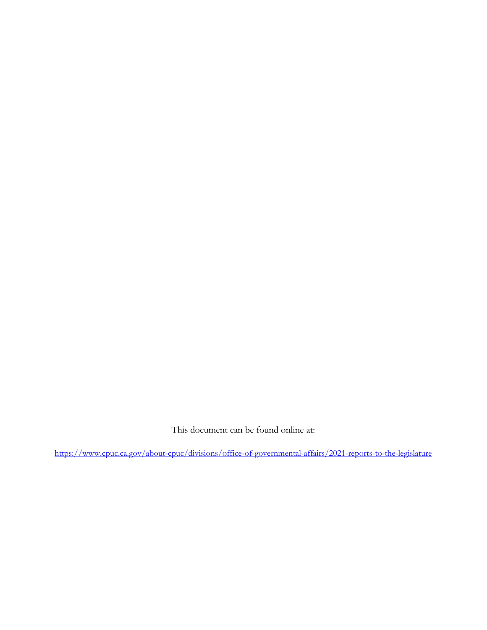This document can be found online at:

https://www.cpuc.ca.gov/about-cpuc/divisions/office-of-governmental-affairs/2021-reports-to-the-legislature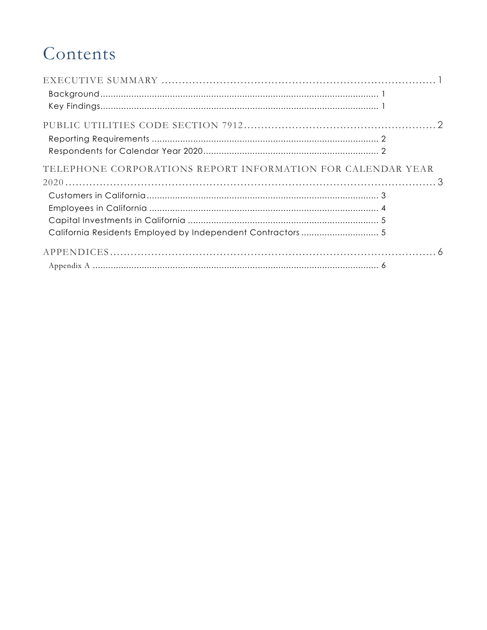### Contents

| TELEPHONE CORPORATIONS REPORT INFORMATION FOR CALENDAR YEAR |  |
|-------------------------------------------------------------|--|
|                                                             |  |
|                                                             |  |
|                                                             |  |
|                                                             |  |
|                                                             |  |
|                                                             |  |
|                                                             |  |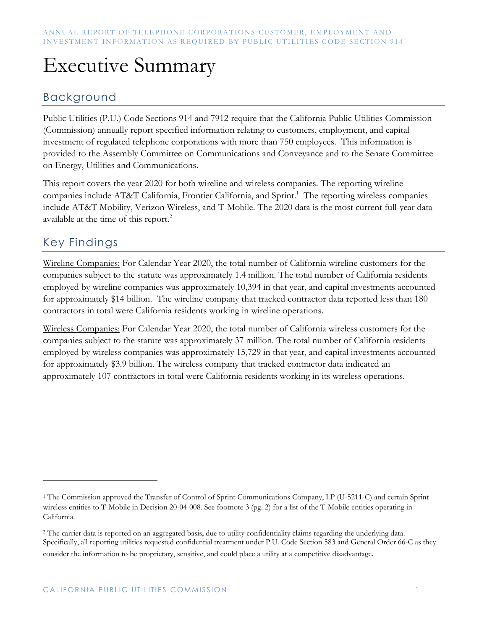# Executive Summary

### Background

Public Utilities (P.U.) Code Sections 914 and 7912 require that the California Public Utilities Commission (Commission) annually report specified information relating to customers, employment, and capital investment of regulated telephone corporations with more than 750 employees. This information is provided to the Assembly Committee on Communications and Conveyance and to the Senate Committee on Energy, Utilities and Communications.

This report covers the year 2020 for both wireline and wireless companies. The reporting wireline companies include AT&T California, Frontier California, and Sprint.<sup>1</sup> The reporting wireless companies include AT&T Mobility, Verizon Wireless, and T-Mobile. The 2020 data is the most current full-year data available at the time of this report.<sup>2</sup>

### Key Findings

Wireline Companies: For Calendar Year 2020, the total number of California wireline customers for the companies subject to the statute was approximately 1.4 million. The total number of California residents employed by wireline companies was approximately 10,394 in that year, and capital investments accounted for approximately \$14 billion. The wireline company that tracked contractor data reported less than 180 contractors in total were California residents working in wireline operations.

Wireless Companies: For Calendar Year 2020, the total number of California wireless customers for the companies subject to the statute was approximately 37 million. The total number of California residents employed by wireless companies was approximately 15,729 in that year, and capital investments accounted for approximately \$3.9 billion. The wireless company that tracked contractor data indicated an approximately 107 contractors in total were California residents working in its wireless operations.

<sup>1</sup> The Commission approved the Transfer of Control of Sprint Communications Company, LP (U-5211-C) and certain Sprint wireless entities to T-Mobile in Decision 20-04-008. See footnote 3 (pg. 2) for a list of the T-Mobile entities operating in California.

<sup>&</sup>lt;sup>2</sup> The carrier data is reported on an aggregated basis, due to utility confidentiality claims regarding the underlying data. Specifically, all reporting utilities requested confidential treatment under P.U. Code Section 583 and General Order 66-C as they consider the information to be proprietary, sensitive, and could place a utility at a competitive disadvantage.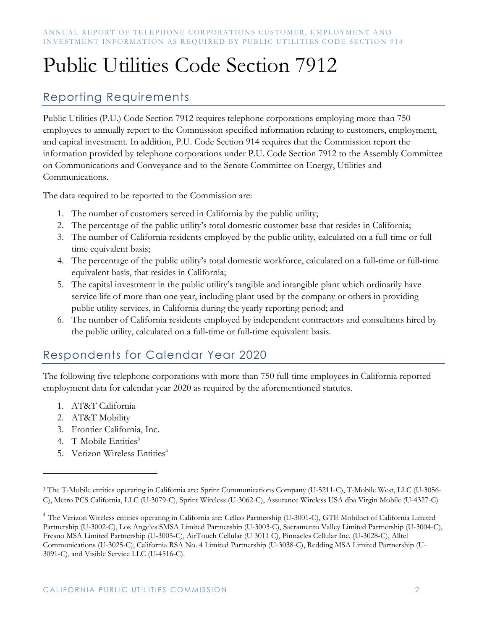# Public Utilities Code Section 7912

### Reporting Requirements

Public Utilities (P.U.) Code Section 7912 requires telephone corporations employing more than 750 employees to annually report to the Commission specified information relating to customers, employment, and capital investment. In addition, P.U. Code Section 914 requires that the Commission report the information provided by telephone corporations under P.U. Code Section 7912 to the Assembly Committee on Communications and Conveyance and to the Senate Committee on Energy, Utilities and Communications.

The data required to be reported to the Commission are:

- 1. The number of customers served in California by the public utility;
- 2. The percentage of the public utility's total domestic customer base that resides in California;
- 3. The number of California residents employed by the public utility, calculated on a full-time or fulltime equivalent basis;
- 4. The percentage of the public utility's total domestic workforce, calculated on a full-time or full-time equivalent basis, that resides in California;
- 5. The capital investment in the public utility's tangible and intangible plant which ordinarily have service life of more than one year, including plant used by the company or others in providing public utility services, in California during the yearly reporting period; and
- 6. The number of California residents employed by independent contractors and consultants hired by the public utility, calculated on a full-time or full-time equivalent basis.

### Respondents for Calendar Year 2020

The following five telephone corporations with more than 750 full-time employees in California reported employment data for calendar year 2020 as required by the aforementioned statutes.

- 1. AT&T California
- 2. AT&T Mobility
- 3. Frontier California, Inc.
- 4. T-Mobile Entities<sup>3</sup>
- 5. Verizon Wireless Entities<sup>4</sup>

<sup>3</sup> The T-Mobile entities operating in California are: Sprint Communications Company (U-5211-C), T-Mobile West, LLC (U-3056- C), Metro PCS California, LLC (U-3079-C), Sprint Wireless (U-3062-C), Assurance Wireless USA dba Virgin Mobile (U-4327-C)

<sup>4</sup> The Verizon Wireless entities operating in California are: Cellco Partnership (U-3001-C), GTE Mobilnet of California Limited Partnership (U-3002-C), Los Angeles SMSA Limited Partnership (U-3003-C), Sacramento Valley Limited Partnership (U-3004-C), Fresno MSA Limited Partnership (U-3005-C), AirTouch Cellular (U 3011 C), Pinnacles Cellular Inc. (U-3028-C), Alltel Communications (U-3025-C), California RSA No. 4 Limited Partnership (U-3038-C), Redding MSA Limited Partnership (U-3091-C), and Visible Service LLC (U-4516-C).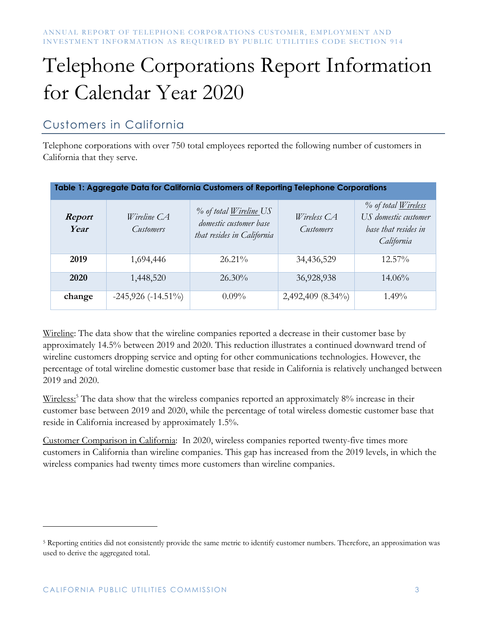# Telephone Corporations Report Information for Calendar Year 2020

### Customers in California

Telephone corporations with over 750 total employees reported the following number of customers in California that they serve.

| Table 1: Aggregate Data for California Customers of Reporting Telephone Corporations |                          |                                                                                       |                                 |                                                                                          |  |
|--------------------------------------------------------------------------------------|--------------------------|---------------------------------------------------------------------------------------|---------------------------------|------------------------------------------------------------------------------------------|--|
| Report<br>Year                                                                       | Wireline CA<br>Customers | % of total <u>Wireline</u> US<br>domestic customer base<br>that resides in California | Wireless CA<br><b>Customers</b> | % of total <u>Wireless</u><br>US domestic customer<br>base that resides in<br>California |  |
| 2019                                                                                 | 1,694,446                | $26.21\%$                                                                             | 34,436,529                      | $12.57\%$                                                                                |  |
| 2020                                                                                 | 1,448,520                | $26.30\%$                                                                             | 36,928,938                      | $14.06\%$                                                                                |  |
| change                                                                               | $-245,926$ $(-14.51\%)$  | $0.09\%$                                                                              | 2,492,409 (8.34%)               | $1.49\%$                                                                                 |  |

Wireline: The data show that the wireline companies reported a decrease in their customer base by approximately 14.5% between 2019 and 2020. This reduction illustrates a continued downward trend of wireline customers dropping service and opting for other communications technologies. However, the percentage of total wireline domestic customer base that reside in California is relatively unchanged between 2019 and 2020.

Wireless:<sup>5</sup> The data show that the wireless companies reported an approximately 8% increase in their customer base between 2019 and 2020, while the percentage of total wireless domestic customer base that reside in California increased by approximately 1.5%.

Customer Comparison in California: In 2020, wireless companies reported twenty-five times more customers in California than wireline companies. This gap has increased from the 2019 levels, in which the wireless companies had twenty times more customers than wireline companies.

<sup>5</sup> Reporting entities did not consistently provide the same metric to identify customer numbers. Therefore, an approximation was used to derive the aggregated total.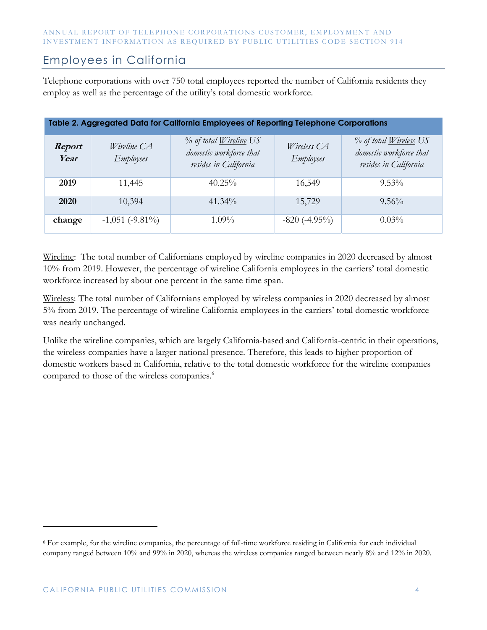#### Employees in California

Telephone corporations with over 750 total employees reported the number of California residents they employ as well as the percentage of the utility's total domestic workforce.

| Table 2. Aggregated Data for California Employees of Reporting Telephone Corporations |                                   |                                                                                   |                                 |                                                                                   |  |
|---------------------------------------------------------------------------------------|-----------------------------------|-----------------------------------------------------------------------------------|---------------------------------|-----------------------------------------------------------------------------------|--|
| Report<br>Year                                                                        | Wireline $CA$<br><i>Employees</i> | % of total <u>Wireline</u> US<br>domestic workforce that<br>resides in California | Wireless CA<br><b>Employees</b> | % of total <u>Wireless</u> US<br>domestic workforce that<br>resides in California |  |
| 2019                                                                                  | 11,445                            | $40.25\%$                                                                         | 16,549                          | $9.53\%$                                                                          |  |
| 2020                                                                                  | 10,394                            | $41.34\%$                                                                         | 15,729                          | $9.56\%$                                                                          |  |
| change                                                                                | $-1,051$ ( $-9.81\%$ )            | $1.09\%$                                                                          | $-820(-4.95\%)$                 | $0.03\%$                                                                          |  |

Wireline: The total number of Californians employed by wireline companies in 2020 decreased by almost 10% from 2019. However, the percentage of wireline California employees in the carriers' total domestic workforce increased by about one percent in the same time span.

Wireless: The total number of Californians employed by wireless companies in 2020 decreased by almost 5% from 2019. The percentage of wireline California employees in the carriers' total domestic workforce was nearly unchanged.

Unlike the wireline companies, which are largely California-based and California-centric in their operations, the wireless companies have a larger national presence. Therefore, this leads to higher proportion of domestic workers based in California, relative to the total domestic workforce for the wireline companies compared to those of the wireless companies.<sup>6</sup>

<sup>6</sup> For example, for the wireline companies, the percentage of full-time workforce residing in California for each individual company ranged between 10% and 99% in 2020, whereas the wireless companies ranged between nearly 8% and 12% in 2020.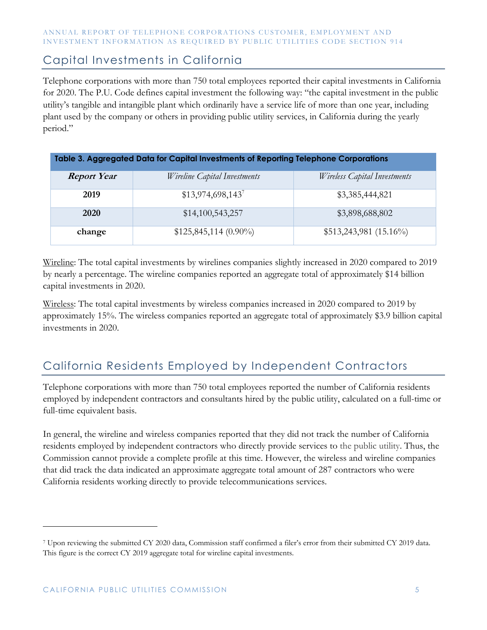#### Capital Investments in California

Telephone corporations with more than 750 total employees reported their capital investments in California for 2020. The P.U. Code defines capital investment the following way: "the capital investment in the public utility's tangible and intangible plant which ordinarily have a service life of more than one year, including plant used by the company or others in providing public utility services, in California during the yearly period."

| Table 3. Aggregated Data for Capital Investments of Reporting Telephone Corporations |                                     |                                     |  |  |
|--------------------------------------------------------------------------------------|-------------------------------------|-------------------------------------|--|--|
| <b>Report Year</b>                                                                   | <i>Wireline Capital Investments</i> | <i>Wireless Capital Investments</i> |  |  |
| 2019                                                                                 | \$13,974,698,143                    | \$3,385,444,821                     |  |  |
| 2020                                                                                 | \$14,100,543,257                    | \$3,898,688,802                     |  |  |
| change                                                                               | $$125,845,114 (0.90\%)$             | $$513,243,981 (15.16\%)$            |  |  |

Wireline: The total capital investments by wirelines companies slightly increased in 2020 compared to 2019 by nearly a percentage. The wireline companies reported an aggregate total of approximately \$14 billion capital investments in 2020.

Wireless: The total capital investments by wireless companies increased in 2020 compared to 2019 by approximately 15%. The wireless companies reported an aggregate total of approximately \$3.9 billion capital investments in 2020.

### California Residents Employed by Independent Contractors

Telephone corporations with more than 750 total employees reported the number of California residents employed by independent contractors and consultants hired by the public utility, calculated on a full-time or full-time equivalent basis.

In general, the wireline and wireless companies reported that they did not track the number of California residents employed by independent contractors who directly provide services to the public utility. Thus, the Commission cannot provide a complete profile at this time. However, the wireless and wireline companies that did track the data indicated an approximate aggregate total amount of 287 contractors who were California residents working directly to provide telecommunications services.

<sup>7</sup> Upon reviewing the submitted CY 2020 data, Commission staff confirmed a filer's error from their submitted CY 2019 data. This figure is the correct CY 2019 aggregate total for wireline capital investments.